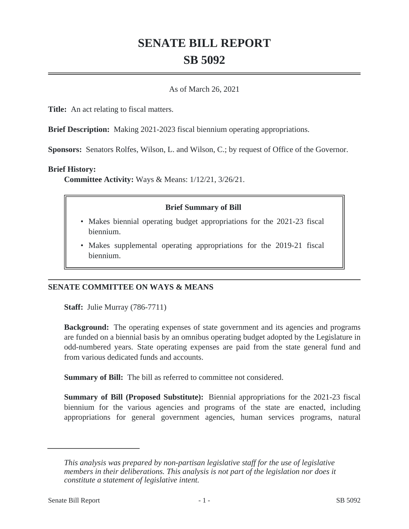# **SENATE BILL REPORT SB 5092**

#### As of March 26, 2021

**Title:** An act relating to fiscal matters.

**Brief Description:** Making 2021-2023 fiscal biennium operating appropriations.

**Sponsors:** Senators Rolfes, Wilson, L. and Wilson, C.; by request of Office of the Governor.

#### **Brief History:**

**Committee Activity:** Ways & Means: 1/12/21, 3/26/21.

## **Brief Summary of Bill**

- Makes biennial operating budget appropriations for the 2021-23 fiscal biennium.
- Makes supplemental operating appropriations for the 2019-21 fiscal biennium.

## **SENATE COMMITTEE ON WAYS & MEANS**

**Staff:** Julie Murray (786-7711)

**Background:** The operating expenses of state government and its agencies and programs are funded on a biennial basis by an omnibus operating budget adopted by the Legislature in odd-numbered years. State operating expenses are paid from the state general fund and from various dedicated funds and accounts.

**Summary of Bill:** The bill as referred to committee not considered.

**Summary of Bill (Proposed Substitute):** Biennial appropriations for the 2021-23 fiscal biennium for the various agencies and programs of the state are enacted, including appropriations for general government agencies, human services programs, natural

*This analysis was prepared by non-partisan legislative staff for the use of legislative members in their deliberations. This analysis is not part of the legislation nor does it constitute a statement of legislative intent.*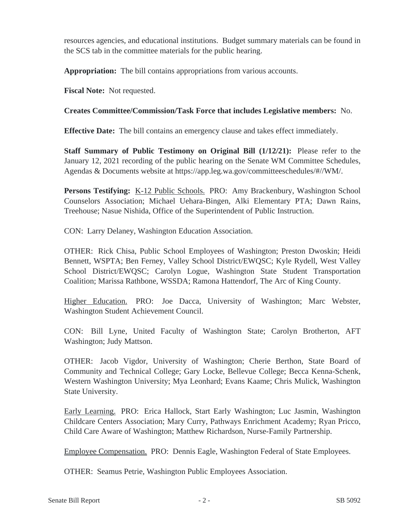resources agencies, and educational institutions. Budget summary materials can be found in the SCS tab in the committee materials for the public hearing.

**Appropriation:** The bill contains appropriations from various accounts.

**Fiscal Note:** Not requested.

# **Creates Committee/Commission/Task Force that includes Legislative members:** No.

**Effective Date:** The bill contains an emergency clause and takes effect immediately.

**Staff Summary of Public Testimony on Original Bill (1/12/21):** Please refer to the January 12, 2021 recording of the public hearing on the Senate WM Committee Schedules, Agendas & Documents website at https://app.leg.wa.gov/committeeschedules/#//WM/.

Persons Testifying: K-12 Public Schools. PRO: Amy Brackenbury, Washington School Counselors Association; Michael Uehara-Bingen, Alki Elementary PTA; Dawn Rains, Treehouse; Nasue Nishida, Office of the Superintendent of Public Instruction.

CON: Larry Delaney, Washington Education Association.

OTHER: Rick Chisa, Public School Employees of Washington; Preston Dwoskin; Heidi Bennett, WSPTA; Ben Ferney, Valley School District/EWQSC; Kyle Rydell, West Valley School District/EWQSC; Carolyn Logue, Washington State Student Transportation Coalition; Marissa Rathbone, WSSDA; Ramona Hattendorf, The Arc of King County.

Higher Education. PRO: Joe Dacca, University of Washington; Marc Webster, Washington Student Achievement Council.

CON: Bill Lyne, United Faculty of Washington State; Carolyn Brotherton, AFT Washington; Judy Mattson.

OTHER: Jacob Vigdor, University of Washington; Cherie Berthon, State Board of Community and Technical College; Gary Locke, Bellevue College; Becca Kenna-Schenk, Western Washington University; Mya Leonhard; Evans Kaame; Chris Mulick, Washington State University.

Early Learning. PRO: Erica Hallock, Start Early Washington; Luc Jasmin, Washington Childcare Centers Association; Mary Curry, Pathways Enrichment Academy; Ryan Pricco, Child Care Aware of Washington; Matthew Richardson, Nurse-Family Partnership.

Employee Compensation. PRO: Dennis Eagle, Washington Federal of State Employees.

OTHER: Seamus Petrie, Washington Public Employees Association.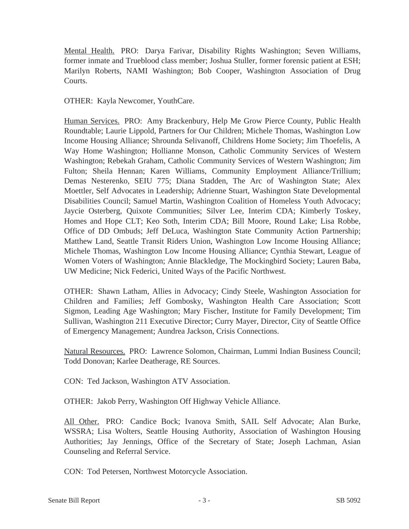Mental Health. PRO: Darya Farivar, Disability Rights Washington; Seven Williams, former inmate and Trueblood class member; Joshua Stuller, former forensic patient at ESH; Marilyn Roberts, NAMI Washington; Bob Cooper, Washington Association of Drug Courts.

OTHER: Kayla Newcomer, YouthCare.

Human Services. PRO: Amy Brackenbury, Help Me Grow Pierce County, Public Health Roundtable; Laurie Lippold, Partners for Our Children; Michele Thomas, Washington Low Income Housing Alliance; Shrounda Selivanoff, Childrens Home Society; Jim Thoefelis, A Way Home Washington; Hollianne Monson, Catholic Community Services of Western Washington; Rebekah Graham, Catholic Community Services of Western Washington; Jim Fulton; Sheila Hennan; Karen Williams, Community Employment Alliance/Trillium; Demas Nesterenko, SEIU 775; Diana Stadden, The Arc of Washington State; Alex Moettler, Self Advocates in Leadership; Adrienne Stuart, Washington State Developmental Disabilities Council; Samuel Martin, Washington Coalition of Homeless Youth Advocacy; Jaycie Osterberg, Quixote Communities; Silver Lee, Interim CDA; Kimberly Toskey, Homes and Hope CLT; Keo Soth, Interim CDA; Bill Moore, Round Lake; Lisa Robbe, Office of DD Ombuds; Jeff DeLuca, Washington State Community Action Partnership; Matthew Land, Seattle Transit Riders Union, Washington Low Income Housing Alliance; Michele Thomas, Washington Low Income Housing Alliance; Cynthia Stewart, League of Women Voters of Washington; Annie Blackledge, The Mockingbird Society; Lauren Baba, UW Medicine; Nick Federici, United Ways of the Pacific Northwest.

OTHER: Shawn Latham, Allies in Advocacy; Cindy Steele, Washington Association for Children and Families; Jeff Gombosky, Washington Health Care Association; Scott Sigmon, Leading Age Washington; Mary Fischer, Institute for Family Development; Tim Sullivan, Washington 211 Executive Director; Curry Mayer, Director, City of Seattle Office of Emergency Management; Aundrea Jackson, Crisis Connections.

Natural Resources. PRO: Lawrence Solomon, Chairman, Lummi Indian Business Council; Todd Donovan; Karlee Deatherage, RE Sources.

CON: Ted Jackson, Washington ATV Association.

OTHER: Jakob Perry, Washington Off Highway Vehicle Alliance.

All Other. PRO: Candice Bock; Ivanova Smith, SAIL Self Advocate; Alan Burke, WSSRA; Lisa Wolters, Seattle Housing Authority, Association of Washington Housing Authorities; Jay Jennings, Office of the Secretary of State; Joseph Lachman, Asian Counseling and Referral Service.

CON: Tod Petersen, Northwest Motorcycle Association.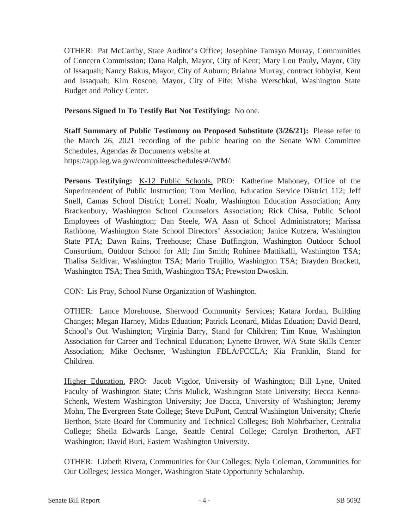OTHER: Pat McCarthy, State Auditor's Office; Josephine Tamayo Murray, Communities of Concern Commission; Dana Ralph, Mayor, City of Kent; Mary Lou Pauly, Mayor, City of Issaquah; Nancy Bakus, Mayor, City of Auburn; Briahna Murray, contract lobbyist, Kent and Issaquah; Kim Roscoe, Mayor, City of Fife; Misha Werschkul, Washington State Budget and Policy Center.

**Persons Signed In To Testify But Not Testifying:** No one.

**Staff Summary of Public Testimony on Proposed Substitute (3/26/21):** Please refer to the March 26, 2021 recording of the public hearing on the Senate WM Committee Schedules, Agendas & Documents website at https://app.leg.wa.gov/committeeschedules/#//WM/.

**Persons Testifying:** K-12 Public Schools. PRO: Katherine Mahoney, Office of the Superintendent of Public Instruction; Tom Merlino, Education Service District 112; Jeff Snell, Camas School District; Lorrell Noahr, Washington Education Association; Amy Brackenbury, Washington School Counselors Association; Rick Chisa, Public School Employees of Washington; Dan Steele, WA Assn of School Administrators; Marissa Rathbone, Washington State School Directors' Association; Janice Kutzera, Washington State PTA; Dawn Rains, Treehouse; Chase Buffington, Washington Outdoor School Consortium, Outdoor School for All; Jim Smith; Rohinee Mattikalli, Washington TSA; Thalisa Saldivar, Washington TSA; Mario Trujillo, Washington TSA; Brayden Brackett, Washington TSA; Thea Smith, Washington TSA; Prewston Dwoskin.

CON: Lis Pray, School Nurse Organization of Washington.

OTHER: Lance Morehouse, Sherwood Community Services; Katara Jordan, Building Changes; Megan Harney, Midas Eduation; Patrick Leonard, Midas Eduation; David Beard, School's Out Washington; Virginia Barry, Stand for Children; Tim Knue, Washington Association for Career and Technical Education; Lynette Brower, WA State Skills Center Association; Mike Oechsner, Washington FBLA/FCCLA; Kia Franklin, Stand for Children.

Higher Education. PRO: Jacob Vigdor, University of Washington; Bill Lyne, United Faculty of Washington State; Chris Mulick, Washington State University; Becca Kenna-Schenk, Western Washington University; Joe Dacca, University of Washington; Jeremy Mohn, The Evergreen State College; Steve DuPont, Central Washington University; Cherie Berthon, State Board for Community and Technical Colleges; Bob Mohrbacher, Centralia College; Sheila Edwards Lange, Seattle Central College; Carolyn Brotherton, AFT Washington; David Buri, Eastern Washington University.

OTHER: Lizbeth Rivera, Communities for Our Colleges; Nyla Coleman, Communities for Our Colleges; Jessica Monger, Washington State Opportunity Scholarship.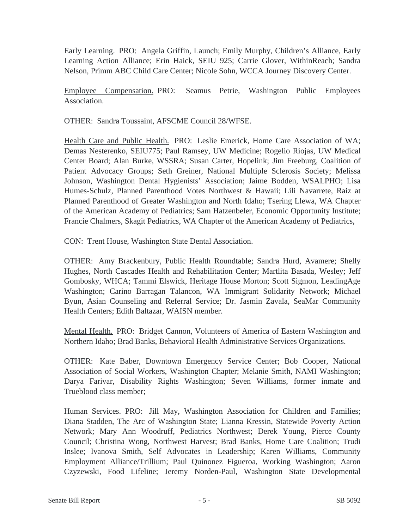Early Learning. PRO: Angela Griffin, Launch; Emily Murphy, Children's Alliance, Early Learning Action Alliance; Erin Haick, SEIU 925; Carrie Glover, WithinReach; Sandra Nelson, Primm ABC Child Care Center; Nicole Sohn, WCCA Journey Discovery Center.

Employee Compensation. PRO: Seamus Petrie, Washington Public Employees Association.

OTHER: Sandra Toussaint, AFSCME Council 28/WFSE.

Health Care and Public Health. PRO: Leslie Emerick, Home Care Association of WA; Demas Nesterenko, SEIU775; Paul Ramsey, UW Medicine; Rogelio Riojas, UW Medical Center Board; Alan Burke, WSSRA; Susan Carter, Hopelink; Jim Freeburg, Coalition of Patient Advocacy Groups; Seth Greiner, National Multiple Sclerosis Society; Melissa Johnson, Washington Dental Hygienists' Association; Jaime Bodden, WSALPHO; Lisa Humes-Schulz, Planned Parenthood Votes Northwest & Hawaii; Lili Navarrete, Raiz at Planned Parenthood of Greater Washington and North Idaho; Tsering Llewa, WA Chapter of the American Academy of Pediatrics; Sam Hatzenbeler, Economic Opportunity Institute; Francie Chalmers, Skagit Pediatrics, WA Chapter of the American Academy of Pediatrics,

CON: Trent House, Washington State Dental Association.

OTHER: Amy Brackenbury, Public Health Roundtable; Sandra Hurd, Avamere; Shelly Hughes, North Cascades Health and Rehabilitation Center; Martlita Basada, Wesley; Jeff Gombosky, WHCA; Tammi Elswick, Heritage House Morton; Scott Sigmon, LeadingAge Washington; Carino Barragan Talancon, WA Immigrant Solidarity Network; Michael Byun, Asian Counseling and Referral Service; Dr. Jasmin Zavala, SeaMar Community Health Centers; Edith Baltazar, WAISN member.

Mental Health. PRO: Bridget Cannon, Volunteers of America of Eastern Washington and Northern Idaho; Brad Banks, Behavioral Health Administrative Services Organizations.

OTHER: Kate Baber, Downtown Emergency Service Center; Bob Cooper, National Association of Social Workers, Washington Chapter; Melanie Smith, NAMI Washington; Darya Farivar, Disability Rights Washington; Seven Williams, former inmate and Trueblood class member;

Human Services. PRO: Jill May, Washington Association for Children and Families; Diana Stadden, The Arc of Washington State; Lianna Kressin, Statewide Poverty Action Network; Mary Ann Woodruff, Pediatrics Northwest; Derek Young, Pierce County Council; Christina Wong, Northwest Harvest; Brad Banks, Home Care Coalition; Trudi Inslee; Ivanova Smith, Self Advocates in Leadership; Karen Williams, Community Employment Alliance/Trillium; Paul Quinonez Figueroa, Working Washington; Aaron Czyzewski, Food Lifeline; Jeremy Norden-Paul, Washington State Developmental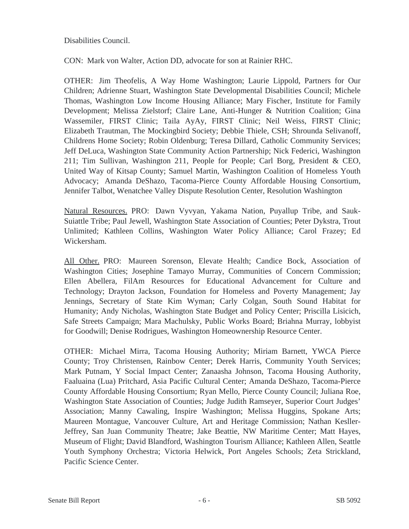Disabilities Council.

CON: Mark von Walter, Action DD, advocate for son at Rainier RHC.

OTHER: Jim Theofelis, A Way Home Washington; Laurie Lippold, Partners for Our Children; Adrienne Stuart, Washington State Developmental Disabilities Council; Michele Thomas, Washington Low Income Housing Alliance; Mary Fischer, Institute for Family Development; Melissa Zielstorf; Claire Lane, Anti-Hunger & Nutrition Coalition; Gina Wassemiler, FIRST Clinic; Taila AyAy, FIRST Clinic; Neil Weiss, FIRST Clinic; Elizabeth Trautman, The Mockingbird Society; Debbie Thiele, CSH; Shrounda Selivanoff, Childrens Home Society; Robin Oldenburg; Teresa Dillard, Catholic Community Services; Jeff DeLuca, Washington State Community Action Partnership; Nick Federici, Washington 211; Tim Sullivan, Washington 211, People for People; Carl Borg, President & CEO, United Way of Kitsap County; Samuel Martin, Washington Coalition of Homeless Youth Advocacy; Amanda DeShazo, Tacoma-Pierce County Affordable Housing Consortium, Jennifer Talbot, Wenatchee Valley Dispute Resolution Center, Resolution Washington

Natural Resources. PRO: Dawn Vyvyan, Yakama Nation, Puyallup Tribe, and Sauk-Suiattle Tribe; Paul Jewell, Washington State Association of Counties; Peter Dykstra, Trout Unlimited; Kathleen Collins, Washington Water Policy Alliance; Carol Frazey; Ed Wickersham.

All Other. PRO: Maureen Sorenson, Elevate Health; Candice Bock, Association of Washington Cities; Josephine Tamayo Murray, Communities of Concern Commission; Ellen Abellera, FilAm Resources for Educational Advancement for Culture and Technology; Drayton Jackson, Foundation for Homeless and Poverty Management; Jay Jennings, Secretary of State Kim Wyman; Carly Colgan, South Sound Habitat for Humanity; Andy Nicholas, Washington State Budget and Policy Center; Priscilla Lisicich, Safe Streets Campaign; Mara Machulsky, Public Works Board; Briahna Murray, lobbyist for Goodwill; Denise Rodrigues, Washington Homeownership Resource Center.

OTHER: Michael Mirra, Tacoma Housing Authority; Miriam Barnett, YWCA Pierce County; Troy Christensen, Rainbow Center; Derek Harris, Community Youth Services; Mark Putnam, Y Social Impact Center; Zanaasha Johnson, Tacoma Housing Authority, Faaluaina (Lua) Pritchard, Asia Pacific Cultural Center; Amanda DeShazo, Tacoma-Pierce County Affordable Housing Consortium; Ryan Mello, Pierce County Council; Juliana Roe, Washington State Association of Counties; Judge Judith Ramseyer, Superior Court Judges' Association; Manny Cawaling, Inspire Washington; Melissa Huggins, Spokane Arts; Maureen Montague, Vancouver Culture, Art and Heritage Commission; Nathan Kesller-Jeffrey, San Juan Community Theatre; Jake Beattie, NW Maritime Center; Matt Hayes, Museum of Flight; David Blandford, Washington Tourism Alliance; Kathleen Allen, Seattle Youth Symphony Orchestra; Victoria Helwick, Port Angeles Schools; Zeta Strickland, Pacific Science Center.